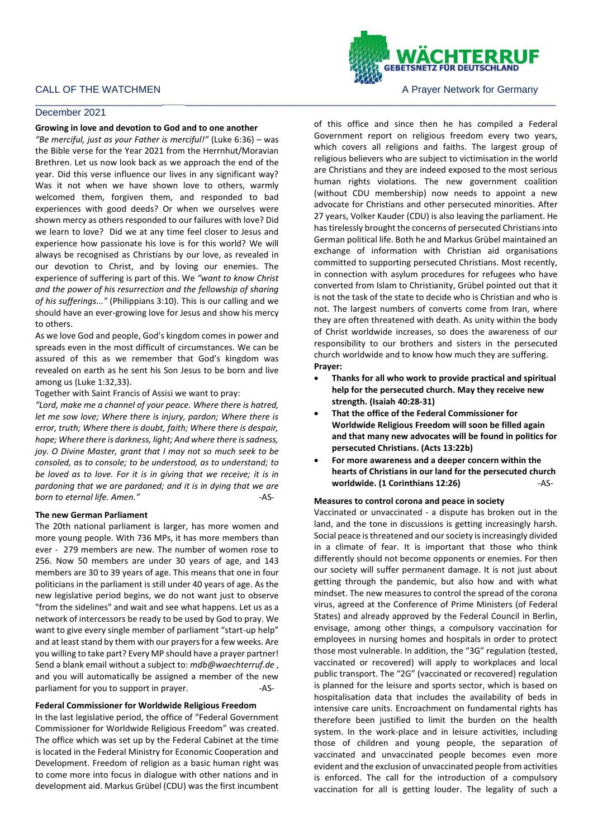# CALL OF THE WATCHMEN **A PRAYER A PRAYER A PRAYER OF STATE OF THE WATCHMEN** A PRAYER A PRAYER MOTOR OF THE STATE OF THE STATE OF THE STATE OF THE STATE OF THE STATE OF THE STATE OF THE STATE OF THE STATE OF THE STATE OF THE

## December 2021

#### **Growing in love and devotion to God and to one another**

*"Be merciful, just as your Father is merciful!"* (Luke 6:36) – was the Bible verse for the Year 2021 from the Herrnhut/Moravian Brethren. Let us now look back as we approach the end of the year. Did this verse influence our lives in any significant way? Was it not when we have shown love to others, warmly welcomed them, forgiven them, and responded to bad experiences with good deeds? Or when we ourselves were shown mercy as others responded to our failures with love? Did we learn to love? Did we at any time feel closer to Jesus and experience how passionate his love is for this world? We will always be recognised as Christians by our love, as revealed in our devotion to Christ, and by loving our enemies. The experience of suffering is part of this. We *"want to know Christ and the power of his resurrection and the fellowship of sharing of his sufferings..."* (Philippians 3:10). This is our calling and we should have an ever-growing love for Jesus and show his mercy to others.

As we love God and people, God's kingdom comes in power and spreads even in the most difficult of circumstances. We can be assured of this as we remember that God's kingdom was revealed on earth as he sent his Son Jesus to be born and live among us (Luke 1:32,33).

Together with Saint Francis of Assisi we want to pray:

*"Lord, make me a channel of your peace. Where there is hatred, let me sow love; Where there is injury, pardon; Where there is error, truth; Where there is doubt, faith; Where there is despair, hope; Where there is darkness, light; And where there is sadness, joy. O Divine Master, grant that I may not so much seek to be consoled, as to console; to be understood, as to understand; to be loved as to love. For it is in giving that we receive; it is in pardoning that we are pardoned; and it is in dying that we are born to eternal life. Amen."* -AS-

### **The new German Parliament**

The 20th national parliament is larger, has more women and more young people. With 736 MPs, it has more members than ever - 279 members are new. The number of women rose to 256. Now 50 members are under 30 years of age, and 143 members are 30 to 39 years of age. This means that one in four politicians in the parliament is still under 40 years of age. As the new legislative period begins, we do not want just to observe "from the sidelines" and wait and see what happens. Let us as a network of intercessors be ready to be used by God to pray. We want to give every single member of parliament "start-up help" and at least stand by them with our prayers for a few weeks. Are you willing to take part? Every MP should have a prayer partner! Send a blank email without a subject to: *mdb@waechterruf.de* , and you will automatically be assigned a member of the new parliament for you to support in prayer. The match of the same of the same of the same of the same of the same o

### **Federal Commissioner for Worldwide Religious Freedom**

In the last legislative period, the office of "Federal Government Commissioner for Worldwide Religious Freedom" was created. The office which was set up by the Federal Cabinet at the time is located in the Federal Ministry for Economic Cooperation and Development. Freedom of religion as a basic human right was to come more into focus in dialogue with other nations and in development aid. Markus Grübel (CDU) was the first incumbent

\_\_\_\_\_\_\_\_\_\_\_\_\_\_\_\_\_\_\_\_\_\_\_*\_\_\_\_*\_\_\_\_\_\_\_\_\_\_\_\_\_\_\_\_\_\_\_\_\_\_\_\_\_\_\_\_\_\_\_\_\_\_\_\_\_\_\_\_\_\_\_\_\_\_\_\_\_\_\_\_\_\_\_\_\_\_\_\_\_\_\_\_\_\_\_

of this office and since then he has compiled a Federal Government report on religious freedom every two years, which covers all religions and faiths. The largest group of religious believers who are subject to victimisation in the world are Christians and they are indeed exposed to the most serious human rights violations. The new government coalition (without CDU membership) now needs to appoint a new advocate for Christians and other persecuted minorities. After 27 years, Volker Kauder (CDU) is also leaving the parliament. He has tirelessly brought the concerns of persecuted Christians into German political life. Both he and Markus Grübel maintained an exchange of information with Christian aid organisations committed to supporting persecuted Christians. Most recently, in connection with asylum procedures for refugees who have converted from Islam to Christianity, Grübel pointed out that it is not the task of the state to decide who is Christian and who is not. The largest numbers of converts come from Iran, where they are often threatened with death. As unity within the body of Christ worldwide increases, so does the awareness of our responsibility to our brothers and sisters in the persecuted church worldwide and to know how much they are suffering. **Prayer:**

- **Thanks for all who work to provide practical and spiritual help for the persecuted church. May they receive new strength. (Isaiah 40:28-31)**
- **That the office of the Federal Commissioner for Worldwide Religious Freedom will soon be filled again and that many new advocates will be found in politics for persecuted Christians. (Acts 13:22b)**
- **For more awareness and a deeper concern within the hearts of Christians in our land for the persecuted church worldwide. (1 Corinthians 12:26)** -AS-

## **Measures to control corona and peace in society**

Vaccinated or unvaccinated - a dispute has broken out in the land, and the tone in discussions is getting increasingly harsh. Social peace is threatened and our society is increasingly divided in a climate of fear. It is important that those who think differently should not become opponents or enemies. For then our society will suffer permanent damage. It is not just about getting through the pandemic, but also how and with what mindset. The new measures to control the spread of the corona virus, agreed at the Conference of Prime Ministers (of Federal States) and already approved by the Federal Council in Berlin, envisage, among other things, a compulsory vaccination for employees in nursing homes and hospitals in order to protect those most vulnerable. In addition, the "3G" regulation (tested, vaccinated or recovered) will apply to workplaces and local public transport. The "2G" (vaccinated or recovered) regulation is planned for the leisure and sports sector, which is based on hospitalisation data that includes the availability of beds in intensive care units. Encroachment on fundamental rights has therefore been justified to limit the burden on the health system. In the work-place and in leisure activities, including those of children and young people, the separation of vaccinated and unvaccinated people becomes even more evident and the exclusion of unvaccinated people from activities is enforced. The call for the introduction of a compulsory vaccination for all is getting louder. The legality of such a